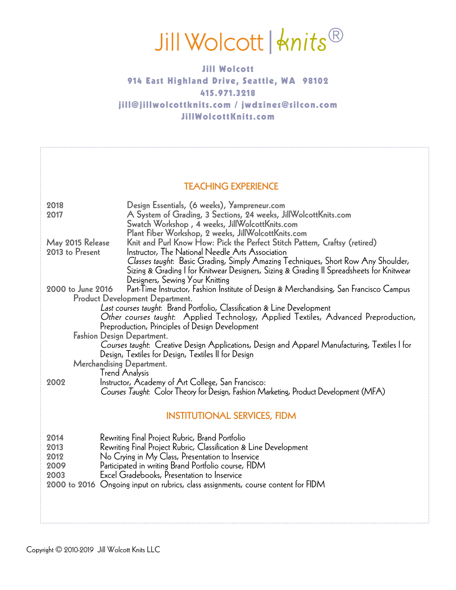# Jill Wolcott | Anits®

### Jill Wolcott 914 East Highland Drive, Seattle, WA 98102 415.971.3218 jill@jillwolcottknits.com / jwdzines@silcon.com JillWolcottKnits.com

#### TEACHING EXPERIENCE

| 2018                 | Design Essentials, (6 weeks), Yarnpreneur.com                                                                                                                                                                                                                        |
|----------------------|----------------------------------------------------------------------------------------------------------------------------------------------------------------------------------------------------------------------------------------------------------------------|
| 2017                 | A System of Grading, 3 Sections, 24 weeks, JillWolcottKnits.com<br>Swatch Workshop, 4 weeks, JillWolcottKnits.com                                                                                                                                                    |
|                      | Plant Fiber Workshop, 2 weeks, JillWolcottKnits.com                                                                                                                                                                                                                  |
| May 2015 Release     | Knit and Purl Know How: Pick the Perfect Stitch Pattern, Craftsy (retired)                                                                                                                                                                                           |
| 2013 to Present      | Instructor, The National Needle Arts Association<br>Classes taught: Basic Grading, Simply Amazing Techniques, Short Row Any Shoulder,<br>Sizing & Grading I for Knitwear Designers, Sizing & Grading II Spreadsheets for Knitwear<br>Designers, Sewing Your Knitting |
| 2000 to June 2016    | Part-Time Instructor, Fashion Institute of Design & Merchandising, San Francisco Campus                                                                                                                                                                              |
|                      | <b>Product Development Department.</b><br>Last courses taught: Brand Portfolio, Classification & Line Development                                                                                                                                                    |
|                      | Other courses taught: Applied Technology, Applied Textiles, Advanced Preproduction,<br>Preproduction, Principles of Design Development                                                                                                                               |
|                      | <b>Fashion Design Department.</b>                                                                                                                                                                                                                                    |
|                      | Courses taught: Creative Design Applications, Design and Apparel Manufacturing, Textiles I for<br>Design, Textiles for Design, Textiles II for Design                                                                                                                |
|                      | Merchandising Department.                                                                                                                                                                                                                                            |
|                      | <b>Trend Analysis</b>                                                                                                                                                                                                                                                |
| 2002                 | Instructor, Academy of Art College, San Francisco:<br>Courses Taught: Color Theory for Design, Fashion Marketing, Product Development (MFA)                                                                                                                          |
|                      | <b>INSTITUTIONAL SERVICES, FIDM</b>                                                                                                                                                                                                                                  |
| 2014<br>2013<br>2012 | Rewriting Final Project Rubric, Brand Portfolio<br>Rewriting Final Project Rubric, Classification & Line Development<br>No Crying in My Class, Presentation to Inservice                                                                                             |
| 2009                 | Participated in writing Brand Portfolio course, FIDM                                                                                                                                                                                                                 |
| 2003                 | Excel Gradebooks, Presentation to Inservice<br>2000 to 2016 Ongoing input on rubrics, class assignments, course content for FIDM                                                                                                                                     |
|                      |                                                                                                                                                                                                                                                                      |
|                      |                                                                                                                                                                                                                                                                      |
|                      |                                                                                                                                                                                                                                                                      |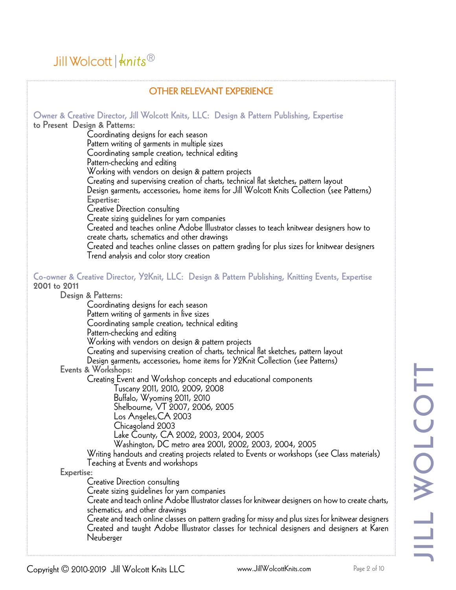| <b>OTHER RELEVANT EXPERIENCE</b>                                                                                            |  |  |
|-----------------------------------------------------------------------------------------------------------------------------|--|--|
| Owner & Creative Director, Jill Wolcott Knits, LLC: Design & Pattern Publishing, Expertise<br>to Present Design & Patterns: |  |  |
| Coordinating designs for each season                                                                                        |  |  |
| Pattern writing of garments in multiple sizes                                                                               |  |  |
| Coordinating sample creation, technical editing                                                                             |  |  |
| Pattern-checking and editing                                                                                                |  |  |
| Working with vendors on design & pattern projects                                                                           |  |  |
| Creating and supervising creation of charts, technical flat sketches, pattern layout                                        |  |  |
| Design garments, accessories, home items for Jill Wolcott Knits Collection (see Patterns)                                   |  |  |
| Expertise:                                                                                                                  |  |  |
| Creative Direction consulting                                                                                               |  |  |
| Create sizing guidelines for yarn companies                                                                                 |  |  |
| Created and teaches online Adobe Illustrator classes to teach knitwear designers how to                                     |  |  |
| create charts, schematics and other drawings                                                                                |  |  |
| Created and teaches online classes on pattern grading for plus sizes for knitwear designers                                 |  |  |
| Trend analysis and color story creation                                                                                     |  |  |
| Co-owner & Creative Director, Y2Knit, LLC: Design & Pattern Publishing, Knitting Events, Expertise                          |  |  |
| 2001 to 2011                                                                                                                |  |  |
| Design & Patterns:                                                                                                          |  |  |
| Coordinating designs for each season                                                                                        |  |  |
| Pattern writing of garments in five sizes                                                                                   |  |  |
| Coordinating sample creation, technical editing<br>Pattern-checking and editing                                             |  |  |
| Working with vendors on design & pattern projects                                                                           |  |  |
| Creating and supervising creation of charts, technical flat sketches, pattern layout                                        |  |  |
| Design garments, accessories, home items for Y2Knit Collection (see Patterns)                                               |  |  |
| Events & Workshops:                                                                                                         |  |  |
| Creating Event and Workshop concepts and educational components                                                             |  |  |
| Tuscany 2011, 2010, 2009, 2008                                                                                              |  |  |
| Buffalo, Wyoming 2011, 2010                                                                                                 |  |  |
| Shelbourne, VT 2007, 2006, 2005                                                                                             |  |  |
| Los Angeles, CA 2003                                                                                                        |  |  |
| Chicagoland 2003                                                                                                            |  |  |
| Lake County, CA 2002, 2003, 2004, 2005                                                                                      |  |  |
| Washington, DC metro area 2001, 2002, 2003, 2004, 2005                                                                      |  |  |
| Writing handouts and creating projects related to Events or workshops (see Class materials)                                 |  |  |
| Teaching at Events and workshops                                                                                            |  |  |
| Expertise:                                                                                                                  |  |  |
| Creative Direction consulting                                                                                               |  |  |
| Create sizing guidelines for yarn companies                                                                                 |  |  |
| Create and teach online Adobe Illustrator classes for knitwear designers on how to create charts,                           |  |  |
| schematics, and other drawings                                                                                              |  |  |
| Create and teach online classes on pattern grading for missy and plus sizes for knitwear designers                          |  |  |
| Created and taught Adobe Illustrator classes for technical designers and designers at Karen<br>Neuberger                    |  |  |
|                                                                                                                             |  |  |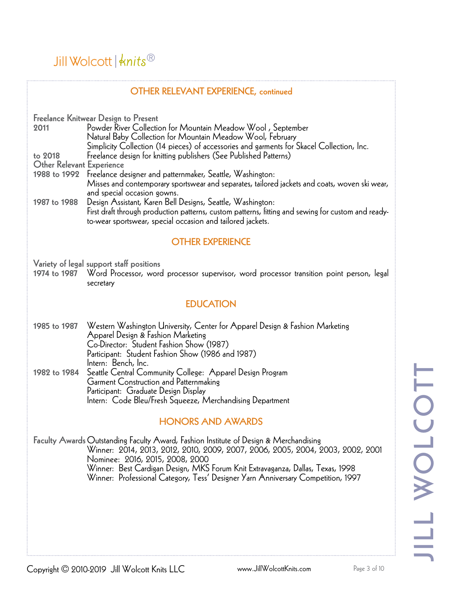### Jill Wolcott  $\frac{1}{3}$  whits  $\frac{1}{3}$

#### OTHER RELEVANT EXPERIENCE, continued

Freelance Knitwear Design to Present <sup>2011</sup> Powder River Collection for Mountain Meadow Wool , September Natural Baby Collection for Mountain Meadow Wool, February Simplicity Collection (14 pieces) of accessories and garments for Skacel Collection, Inc. to 2018 Freelance design for knitting publishers (See Published Patterns) Other Relevant Experience<br>1988 to 1992 Freelance designer and patternmaker, Seattle, Washington: Misses and contemporary sportswear and separates, tailored jackets and coats, woven ski wear, and special occasion gowns.<br>Design Assistant, Karen Bell Designs, Seattle, Washington: 1987 to 1988 Design Assistant, Karen Bell Designs, Seattle, Washington: First draft through production patterns, custom patterns, fitting and sewing for custom and readyto-wear sportswear, special occasion and tailored jackets. OTHER EXPERIENCE Variety of legal support staff positions 1974 to 1987 Word Processor, word processor supervisor, word processor transition point person, legal secretary **EDUCATION** 1985 to 1987 Western Washington University, Center for Apparel Design & Fashion Marketing<br>Apparel Design & Fashion Marketing<br>Co-Director: Student Fashion Show (1987)<br>Participant: Student Fashion Show (1986 and 1987)<br>Intern 1982 to 1984 Seattle Central Community College: Apparel Design Program Garment Construction and Patternmaking Participant: Graduate Design Display Intern: Code Bleu/Fresh Squeeze, Merchandising Department HONORS AND AWARDS Faculty Awards Outstanding Faculty Award, Fashion Institute of Design & Merchandising<br>Winner: 2014, 2013, 2012, 2010, 2009, 2007, 2006, 2005, 2004, 2003, 2002, 2001<br>Nominee: 2016, 2015, 2008, 2000<br>Winner: Best Cardigan Des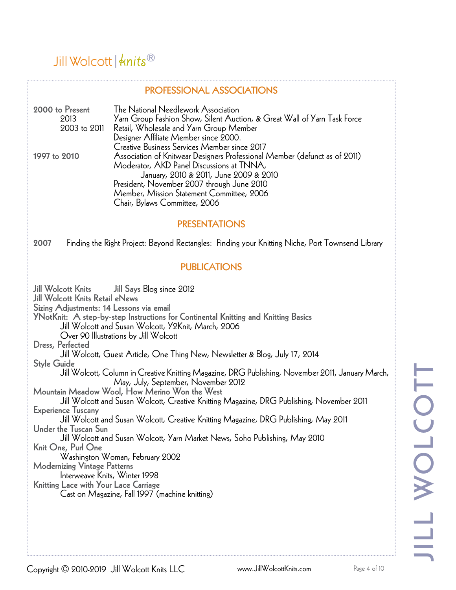#### PROFESSIONAL ASSOCIATIONS

| 2000 to Present | The National Needlework Association                                        |
|-----------------|----------------------------------------------------------------------------|
| 2013            | Yarn Group Fashion Show, Silent Auction, & Great Wall of Yarn Task Force   |
| 2003 to 2011    | Retail, Wholesale and Yarn Group Member                                    |
|                 | Designer Affiliate Member since 2000.                                      |
|                 | Creative Business Services Member since 2017                               |
| 1997 to 2010    | Association of Knitwear Designers Professional Member (defunct as of 2011) |
|                 | Moderator, AKD Panel Discussions at TNNA,                                  |
|                 | January, 2010 & 2011, June 2009 & 2010                                     |
|                 | President, November 2007 through June 2010                                 |
|                 | Member, Mission Statement Committee, 2006                                  |
|                 | Chair, Bylaws Committee, 2006                                              |

#### PRESENTATIONS

2007 Finding the Right Project: Beyond Rectangles: Finding your Knitting Niche, Port Townsend Library

#### PUBLICATIONS

Jill Wolcott Knits [Jill Says](.  http://www.jillwolcottknits.com/category/blog/) Blog since 2012 Jill Wolcott Knits [Retail eNews](http://www.jillwolcottknits.com/about/jill-wolcott-knits-newsletter-archives/) Sizing Adjustments: 14 Lessons via email YNotKnit: A step-by-step Instructions for Continental Knitting and Knitting Basics Jill Wolcott and Susan Wolcott, Y2Knit, March, 2006 Over 90 Illustrations by Jill Wolcott Dress, Perfected Jill Wolcott, Guest Article, One Thing New, Newsletter & Blog, July 17, 2014 Style Guide Jill Wolcott, Column in Creative Knitting Magazine, DRG Publishing, November 2011, January March, May, July, September, November 2012 Mountain Meadow Wool, How Merino Won the West Jill Wolcott and Susan Wolcott, Creative Knitting Magazine, DRG Publishing, November 2011 Experience Tuscany Jill Wolcott and Susan Wolcott, Creative Knitting Magazine, DRG Publishing, May 2011 Under the Tuscan Sun Jill Wolcott and Susan Wolcott, Yarn Market News, Soho Publishing, May 2010 Knit One, Purl One Washington Woman, February 2002 Modernizing Vintage Patterns Interweave Knits, Winter 1998 Knitting Lace with Your Lace Carriage Cast on Magazine, Fall 1997 (machine knitting)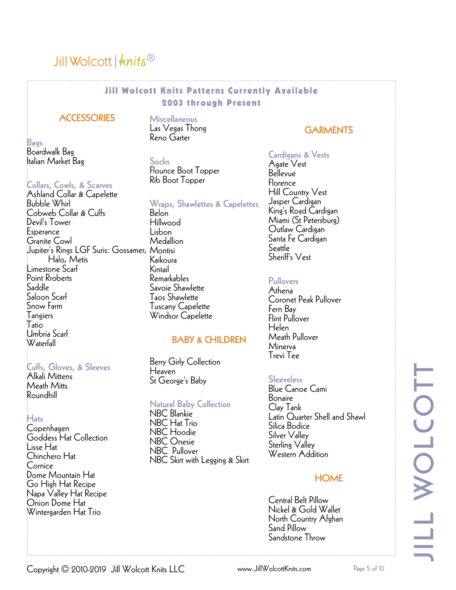## Jill Wolcott  $\frac{1}{3}$  whits  $\frac{1}{3}$

#### Jill Wolcott Knits Patterns Currently Available 2003 through Present

#### **ACCESSORIES**

Bags Boardwalk Bag Italian Market Bag

#### Collars, Cowls, & Scarves

Ashland Collar & Capelette Bubble Whirl Cobweb Collar & Cuffs Devil's Tower **Esperance** Granite Cowl Jupiter's Rings LGF Suris: Gossamer, Montisi Halo, Metis Limestone Scarf Point Rroberts Saddle Saloon Scarf Snow Farm **Tangiers** Tatio Umbria Scarf Waterfall

#### Cuffs, Gloves, & Sleeves

Alkali Mittens Meath Mitts Roundhill

#### Hats

Copenhagen Goddess Hat Collection Lisse Hat Chinchero Hat Cornice Dome Mountain Hat Go High Hat Recipe Napa Valley Hat Recipe Onion Dome Hat Wintergarden Hat Trio

Miscellaneous Las Vegas Thong Reno Garter

**Socks** Flounce Boot Topper Rib Boot Topper

#### Wraps, Shawlettes & Capelettes

Belon Hillwood Lisbon **Medallion** Kaikoura Kintail Remarkables Savoie Shawlette Taos Shawlette Tuscany Capelette Windsor Capelette

#### BABY & CHILDREN

Berry Girly Collection Heaven St George's Baby

#### Natural Baby Collection

NBC Blankie NBC Hat Trio NBC Hoodie NBC Onesie NBC Pullover NBC Skirt with Legging & Skirt

#### **GARMENTS**

#### Cardigans & Vests

Agate Vest Bellevue Florence Hill Country Vest Jasper Cardigan King's Road Cardigan Miami (St Petersburg) Outlaw Cardigan Santa Fe Cardigan Seattle Sheriff's Vest

#### **Pullovers**

Athena Coronet Peak Pullover Fern Bay Flint Pullover Helen Meath Pullover Minerva Trevi Tee

#### Sleeveless

Blue Canoe Cami Bonaire Clay Tank Latin Quarter Shell and Shawl Silica Bodice Silver Valley Sterling Valley Western Addition

#### **HOME**

Central Belt Pillow Nickel & Gold Wallet North Country Afghan Sand Pillow Sandstone Throw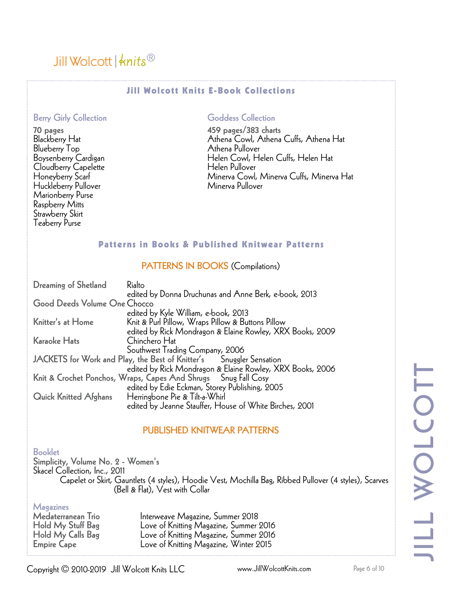#### Jill Wolcott Knits E-Book Collections

#### Berry Girly Collection

70 pages Blackberry Hat Blueberry Top Boysenberry Cardigan Cloudberry Capelette Honeyberry Scarf Huckleberry Pullover Marionberry Purse Raspberry Mitts Strawberry Skirt Teaberry Purse

#### Goddess Collection

459 pages/383 charts Athena Cowl, Athena Cuffs, Athena Hat Athena Pullover Helen Cowl, Helen Cuffs, Helen Hat Helen Pullover Minerva Cowl, Minerva Cuffs, Minerva Hat Minerva Pullover

#### Patterns in Books & Published Knitwear Patterns

#### PATTERNS IN BOOKS (Compilations)

| Dreaming of Shetland         | Rialto                                                              |
|------------------------------|---------------------------------------------------------------------|
|                              | edited by Donna Druchunas and Anne Berk, e-book, 2013               |
| Good Deeds Volume One Chocco |                                                                     |
|                              | edited by Kyle William, e-book, 2013                                |
| Knitter's at Home            | Knit & Purl Pillow, Wraps Pillow & Buttons Pillow                   |
|                              | edited by Rick Mondragon & Elaine Rowley, XRX Books, 2009           |
| <b>Karaoke Hats</b>          | Chinchero Hat                                                       |
|                              | Southwest Trading Company, 2006                                     |
|                              | JACKETS for Work and Play, the Best of Knitter's Snuggler Sensation |
|                              | edited by Rick Mondragon & Elaine Rowley, XRX Books, 2006           |
|                              | Knit & Crochet Ponchos, Wraps, Capes And Shrugs Snug Fall Cosy      |
|                              | edited by Edie Eckman, Storey Publishing, 2005                      |
| <b>Quick Knitted Afghans</b> | Herringbone Pie & Tilt-a-Whirl                                      |
|                              | edited by Jeanne Stauffer, House of White Birches, 2001             |

#### PUBLISHED KNITWEAR PATTERNS

#### Booklet

Simplicity, Volume No. 2 - Women's Skacel Collection, Inc., 2011 Capelet or Skirt, Gauntlets (4 styles), Hoodie Vest, Mochilla Bag, Ribbed Pullover (4 styles), Scarves (Bell & Flat), Vest with Collar

Magazines<br>Medaterranean Trio

Medaterranean Trio Interweave Magazine, Summer 2018 Hold My Stuff Bag Love of Knitting Magazine, Summer 2016 Love of Knitting Magazine, Summer 2016 Empire Cape Love of Knitting Magazine, Winter 2015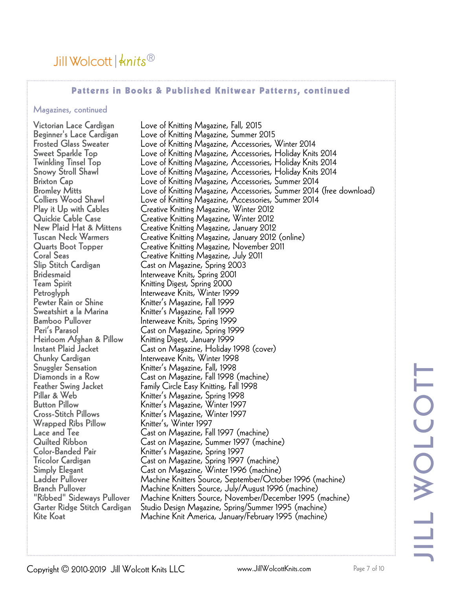#### Patterns in Books & Published Knitwear Patterns, continued

#### Magazines, continued

Pewter Rain or Shine Knitter's Magazine, Fall 1999 Sweatshirt a la Marina Knitter's Magazine, Fall 1999 Heirloom Afghan & Pillow Knitting Digest, January 1999 Wrapped Ribs Pillow<br>Lace and Tee

Victorian Lace Cardigan Love of Knitting Magazine, Fall, 2015 Love of Knitting Magazine, Summer 2015 Frosted Glass Sweater Love of Knitting Magazine, Accessories, Winter 2014<br>Sweet Sparkle Top Love of Knitting Magazine, Accessories, Holiday Knit: Sweet Sparkle Top Love of Knitting Magazine, Accessories, Holiday Knits 2014 Twinkling Tinsel Top Love of Knitting Magazine, Accessories, Holiday Knits 2014 Love of Knitting Magazine, Accessories, Holiday Knits 2014 Brixton Cap Love of Knitting Magazine, Accessories, Summer 2014 Bromley Mitts Love of Knitting Magazine, Accessories, Summer 2014 (free download)<br>Colliers Wood Shawl Love of Knitting Magazine, Accessories, Summer 2014 Colliers Wood Shawl Love of Knitting Magazine, Accessories, Summer 2014 Play it Up with Cables Creative Knitting Magazine, Winter 2012 Quickie Cable Case Creative Knitting Magazine, Winter 2012 New Plaid Hat & Mittens Creative Knitting Magazine, January 2012 Tuscan Neck Warmers Creative Knitting Magazine, January 2012 (online) Quarts Boot Topper Creative Knitting Magazine, November 2011 Coral Seas Creative Knitting Magazine, July 2011 Slip Stitch Cardigan Cast on Magazine, Spring 2003 Bridesmaid Interweave Knits, Spring 2001 Knitting Digest, Spring 2000 Petroglyph Interweave Knits, Winter 1999 Bamboo Pullover Interweave Knits, Spring 1999 Peri's Parasol Cast on Magazine, Spring 1999 Cast on Magazine, Holiday 1998 (cover) Chunky Cardigan Interweave Knits, Winter 1998 Snuggler Sensation Knitter's Magazine, Fall, 1998 Diamonds in a Row Cast on Magazine, Fall 1998 (machine) Feather Swing Jacket Family Circle Easy Knitting, Fall 1998 Pillar & Web Knitter's Magazine, Spring 1998 Button Pillow Knitter's Magazine, Winter 1997 Knitter's Magazine, Winter 1997<br>Knitter's, Winter 1997 Lace and Tee Cast on Magazine, Fall 1997 (machine) Quilted Ribbon Cast on Magazine, Summer 1997 (machine) Knitter's Magazine, Spring 1997 Tricolor Cardigan Cast on Magazine, Spring 1997 (machine) Simply Elegant Cast on Magazine, Winter 1996 (machine) Ladder Pullover Machine Knitters Source, September/October 1996 (machine) Branch Pullover Machine Knitters Source, July/August 1996 (machine)<br>"Ribbed" Sideways Pullover Machine Knitters Source, November/December 1995 ( "Ribbed" Sideways Pullover Machine Knitters Source, November/December 1995 (machine)<br>Garter Ridge Stitch Cardigan Studio Design Magazine, Spring/Summer 1995 (machine) Garter Ridge Stitch Cardigan Studio Design Magazine, Spring/Summer 1995 (machine) Machine Knit America, January/February 1995 (machine)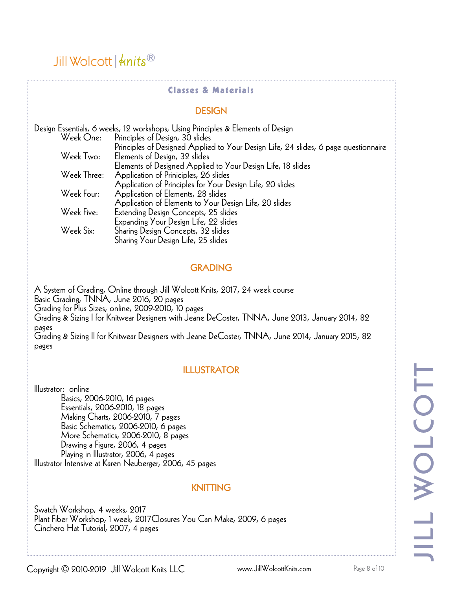#### Classes & Materials

#### DESIGN

| Design Essentials, 6 weeks, 12 workshops, Using Principles & Elements of Design |                                                                                     |  |  |
|---------------------------------------------------------------------------------|-------------------------------------------------------------------------------------|--|--|
|                                                                                 | Week One: Principles of Design, 30 slides                                           |  |  |
|                                                                                 | Principles of Designed Applied to Your Design Life, 24 slides, 6 page questionnaire |  |  |
| Week Two:                                                                       | Elements of Design, 32 slides                                                       |  |  |
|                                                                                 | Elements of Designed Applied to Your Design Life, 18 slides                         |  |  |
| Week Three:                                                                     | Application of Priniciples, 26 slides                                               |  |  |
|                                                                                 | Application of Principles for Your Design Life, 20 slides                           |  |  |
| Week Four:                                                                      | Application of Elements, 28 slides                                                  |  |  |
|                                                                                 | Application of Elements to Your Design Life, 20 slides                              |  |  |
| Week Five:                                                                      | Extending Design Concepts, 25 slides                                                |  |  |
|                                                                                 | Expanding Your Design Life, 22 slides                                               |  |  |
| Week Six:                                                                       | Sharing Design Concepts, 32 slides                                                  |  |  |
|                                                                                 | Sharing Your Design Life, 25 slides                                                 |  |  |

#### GRADING

A System of Grading, Online through Jill Wolcott Knits, 2017, 24 week course Basic Grading, TNNA, June 2016, 20 pages Grading for Plus Sizes, online, 2009-2010, 10 pages Grading & Sizing I for Knitwear Designers with Jeane DeCoster, TNNA, June 2013, January 2014, 82 pages Grading & Sizing II for Knitwear Designers with Jeane DeCoster, TNNA, June 2014, January 2015, 82 pages

#### ILLUSTRATOR

Illustrator: online Basics, 2006-2010, 16 pages Essentials, 2006-2010, 18 pages Making Charts, 2006-2010, 7 pages Basic Schematics, 2006-2010, 6 pages More Schematics, 2006-2010, 8 pages Drawing a Figure, 2006, 4 pages Playing in Illustrator, 2006, 4 pages Illustrator Intensive at Karen Neuberger, 2006, 45 pages

#### KNITTING

Swatch Workshop, 4 weeks, 2017 Plant Fiber Workshop, 1 week, 2017Closures You Can Make, 2009, 6 pages Cinchero Hat Tutorial, 2007, 4 pages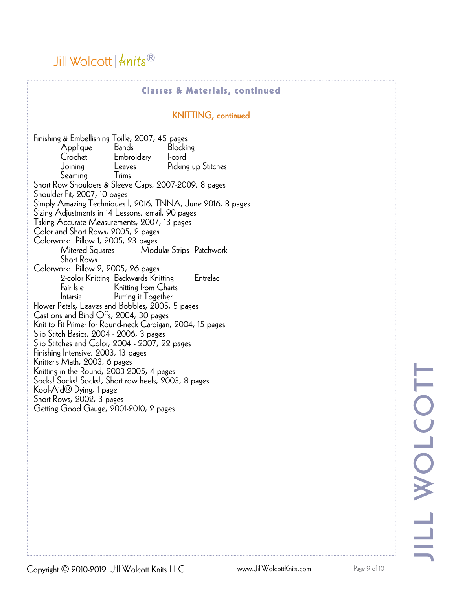### Jill Wolcott  $\frac{1}{3}$  whits  $\frac{1}{3}$

#### Classes & Materials, continued

#### KNITTING, continued

Finishing & Embellishing Toille, 2007, 45 pages Applique Bands Blocking<br>Crochet Embroiderv I-cord Embroidery Joining Leaves Picking up Stitches Seaming Trims Short Row Shoulders & Sleeve Caps, 2007-2009, 8 pages Shoulder Fit, 2007, 10 pages Simply Amazing Techniques I, 2016, TNNA, June 2016, 8 pages Sizing Adjustments in 14 Lessons, email, 90 pages Taking Accurate Measurements, 2007, 13 pages Color and Short Rows, 2005, 2 pages Colorwork: Pillow 1, 2005, 23 pages Modular Strips Patchwork Short Rows Colorwork: Pillow 2, 2005, 26 pages 2-color Knitting Backwards Knitting Entrelac Fair Isle Knitting from Charts Putting it Together Flower Petals, Leaves and Bobbles, 2005, 5 pages Cast ons and Bind Offs, 2004, 30 pages Knit to Fit Primer for Round-neck Cardigan, 2004, 15 pages Slip Stitch Basics, 2004 - 2006, 3 pages Slip Stitches and Color, 2004 - 2007, 22 pages Finishing Intensive, 2003, 13 pages Knitter's Math, 2003, 6 pages Knitting in the Round, 2003-2005, 4 pages Socks! Socks! Socks!, Short row heels, 2003, 8 pages Kool-Aid® Dying, 1 page Short Rows, 2002, 3 pages Getting Good Gauge, 2001-2010, 2 pages